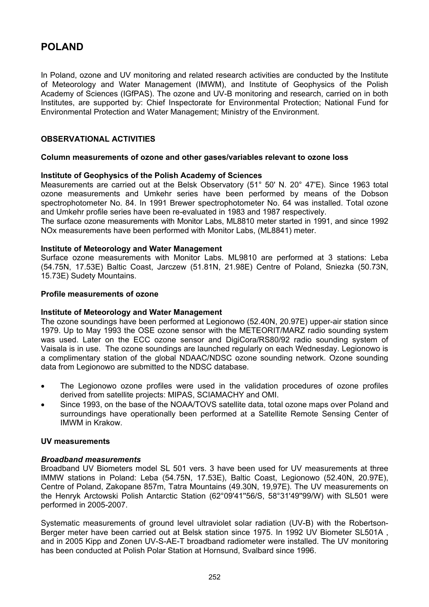# **POLAND**

In Poland, ozone and UV monitoring and related research activities are conducted by the Institute of Meteorology and Water Management (IMWM), and Institute of Geophysics of the Polish Academy of Sciences (IGfPAS). The ozone and UV-B monitoring and research, carried on in both Institutes, are supported by: Chief Inspectorate for Environmental Protection; National Fund for Environmental Protection and Water Management; Ministry of the Environment.

# **OBSERVATIONAL ACTIVITIES**

# **Column measurements of ozone and other gases/variables relevant to ozone loss**

# **Institute of Geophysics of the Polish Academy of Sciences**

Measurements are carried out at the Belsk Observatory (51° 50' N. 20° 47'E). Since 1963 total ozone measurements and Umkehr series have been performed by means of the Dobson spectrophotometer No. 84. In 1991 Brewer spectrophotometer No. 64 was installed. Total ozone and Umkehr profile series have been re-evaluated in 1983 and 1987 respectively.

The surface ozone measurements with Monitor Labs, ML8810 meter started in 1991, and since 1992 NOx measurements have been performed with Monitor Labs, (ML8841) meter.

# **Institute of Meteorology and Water Management**

Surface ozone measurements with Monitor Labs. ML9810 are performed at 3 stations: Leba (54.75N, 17.53E) Baltic Coast, Jarczew (51.81N, 21.98E) Centre of Poland, Sniezka (50.73N, 15.73E) Sudety Mountains.

# **Profile measurements of ozone**

#### **Institute of Meteorology and Water Management**

The ozone soundings have been performed at Legionowo (52.40N, 20.97E) upper-air station since 1979. Up to May 1993 the OSE ozone sensor with the METEORIT/MARZ radio sounding system was used. Later on the ECC ozone sensor and DigiCora/RS80/92 radio sounding system of Vaisala is in use. The ozone soundings are launched regularly on each Wednesday. Legionowo is a complimentary station of the global NDAAC/NDSC ozone sounding network. Ozone sounding data from Legionowo are submitted to the NDSC database.

- The Legionowo ozone profiles were used in the validation procedures of ozone profiles derived from satellite projects: MIPAS, SCIAMACHY and OMI.
- Since 1993, on the base of the NOAA/TOVS satellite data, total ozone maps over Poland and surroundings have operationally been performed at a Satellite Remote Sensing Center of IMWM in Krakow.

#### **UV measurements**

#### *Broadband measurements*

Broadband UV Biometers model SL 501 vers. 3 have been used for UV measurements at three IMMW stations in Poland: Leba (54.75N, 17.53E), Baltic Coast, Legionowo (52.40N, 20.97E), Centre of Poland, Zakopane 857m, Tatra Mountains (49.30N, 19,97E). The UV measurements on the Henryk Arctowski Polish Antarctic Station (62°09'41''56/S, 58°31'49''99/W) with SL501 were performed in 2005-2007.

Systematic measurements of ground level ultraviolet solar radiation (UV-B) with the Robertson-Berger meter have been carried out at Belsk station since 1975. In 1992 UV Biometer SL501A , and in 2005 Kipp and Zonen UV-S-AE-T broadband radiometer were installed. The UV monitoring has been conducted at Polish Polar Station at Hornsund, Svalbard since 1996.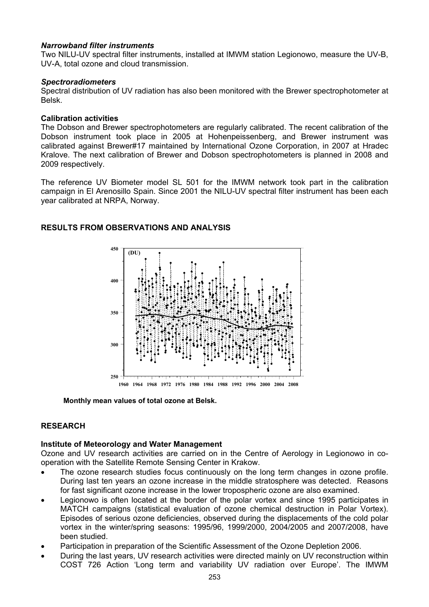# *Narrowband filter instruments*

Two NILU-UV spectral filter instruments, installed at IMWM station Legionowo, measure the UV-B, UV-A, total ozone and cloud transmission.

### *Spectroradiometers*

Spectral distribution of UV radiation has also been monitored with the Brewer spectrophotometer at Belsk.

### **Calibration activities**

The Dobson and Brewer spectrophotometers are regularly calibrated. The recent calibration of the Dobson instrument took place in 2005 at Hohenpeissenberg, and Brewer instrument was calibrated against Brewer#17 maintained by International Ozone Corporation, in 2007 at Hradec Kralove. The next calibration of Brewer and Dobson spectrophotometers is planned in 2008 and 2009 respectively.

The reference UV Biometer model SL 501 for the IMWM network took part in the calibration campaign in El Arenosillo Spain. Since 2001 the NILU-UV spectral filter instrument has been each year calibrated at NRPA, Norway.

# **1960 1964 1968 1972 1976 1980 1984 1988 1992 1996 2000 2004 2008 250 300 350 400 450 (DU)**

# **RESULTS FROM OBSERVATIONS AND ANALYSIS**

**Monthly mean values of total ozone at Belsk.** 

# **RESEARCH**

#### **Institute of Meteorology and Water Management**

Ozone and UV research activities are carried on in the Centre of Aerology in Legionowo in cooperation with the Satellite Remote Sensing Center in Krakow.

- The ozone research studies focus continuously on the long term changes in ozone profile. During last ten years an ozone increase in the middle stratosphere was detected. Reasons for fast significant ozone increase in the lower tropospheric ozone are also examined.
- Legionowo is often located at the border of the polar vortex and since 1995 participates in MATCH campaigns (statistical evaluation of ozone chemical destruction in Polar Vortex). Episodes of serious ozone deficiencies, observed during the displacements of the cold polar vortex in the winter/spring seasons: 1995/96, 1999/2000, 2004/2005 and 2007/2008, have been studied.
- Participation in preparation of the Scientific Assessment of the Ozone Depletion 2006.
- During the last years, UV research activities were directed mainly on UV reconstruction within COST 726 Action 'Long term and variability UV radiation over Europe'. The IMWM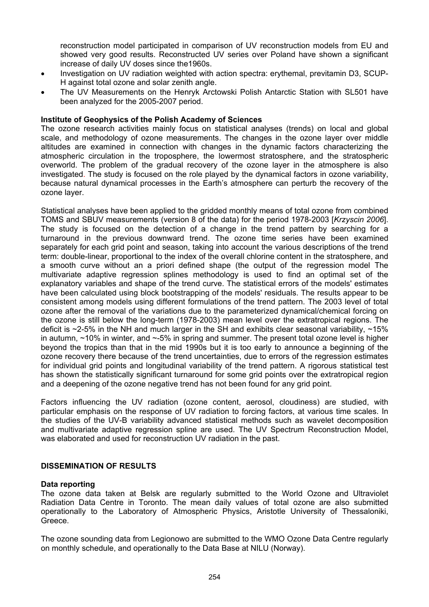reconstruction model participated in comparison of UV reconstruction models from EU and showed very good results. Reconstructed UV series over Poland have shown a significant increase of daily UV doses since the1960s.

- Investigation on UV radiation weighted with action spectra: erythemal, previtamin D3, SCUP-H against total ozone and solar zenith angle.
- The UV Measurements on the Henryk Arctowski Polish Antarctic Station with SL501 have been analyzed for the 2005-2007 period.

### **Institute of Geophysics of the Polish Academy of Sciences**

The ozone research activities mainly focus on statistical analyses (trends) on local and global scale, and methodology of ozone measurements. The changes in the ozone layer over middle altitudes are examined in connection with changes in the dynamic factors characterizing the atmospheric circulation in the troposphere, the lowermost stratosphere, and the stratospheric overworld. The problem of the gradual recovery of the ozone layer in the atmosphere is also investigated. The study is focused on the role played by the dynamical factors in ozone variability, because natural dynamical processes in the Earth's atmosphere can perturb the recovery of the ozone layer.

Statistical analyses have been applied to the gridded monthly means of total ozone from combined TOMS and SBUV measurements (version 8 of the data) for the period 1978-2003 [*Krzyscin 2006*]. The study is focused on the detection of a change in the trend pattern by searching for a turnaround in the previous downward trend. The ozone time series have been examined separately for each grid point and season, taking into account the various descriptions of the trend term: double-linear, proportional to the index of the overall chlorine content in the stratosphere, and a smooth curve without an a priori defined shape (the output of the regression model The multivariate adaptive regression splines methodology is used to find an optimal set of the explanatory variables and shape of the trend curve. The statistical errors of the models' estimates have been calculated using block bootstrapping of the models' residuals. The results appear to be consistent among models using different formulations of the trend pattern. The 2003 level of total ozone after the removal of the variations due to the parameterized dynamical/chemical forcing on the ozone is still below the long-term (1978-2003) mean level over the extratropical regions. The deficit is  $\approx$ 2-5% in the NH and much larger in the SH and exhibits clear seasonal variability,  $\approx$ 15% in autumn, ~10% in winter, and ~-5% in spring and summer. The present total ozone level is higher beyond the tropics than that in the mid 1990s but it is too early to announce a beginning of the ozone recovery there because of the trend uncertainties, due to errors of the regression estimates for individual grid points and longitudinal variability of the trend pattern. A rigorous statistical test has shown the statistically significant turnaround for some grid points over the extratropical region and a deepening of the ozone negative trend has not been found for any grid point.

Factors influencing the UV radiation (ozone content, aerosol, cloudiness) are studied, with particular emphasis on the response of UV radiation to forcing factors, at various time scales. In the studies of the UV-B variability advanced statistical methods such as wavelet decomposition and multivariate adaptive regression spline are used. The UV Spectrum Reconstruction Model, was elaborated and used for reconstruction UV radiation in the past.

# **DISSEMINATION OF RESULTS**

#### **Data reporting**

The ozone data taken at Belsk are regularly submitted to the World Ozone and Ultraviolet Radiation Data Centre in Toronto. The mean daily values of total ozone are also submitted operationally to the Laboratory of Atmospheric Physics, Aristotle University of Thessaloniki, Greece.

The ozone sounding data from Legionowo are submitted to the WMO Ozone Data Centre regularly on monthly schedule, and operationally to the Data Base at NILU (Norway).